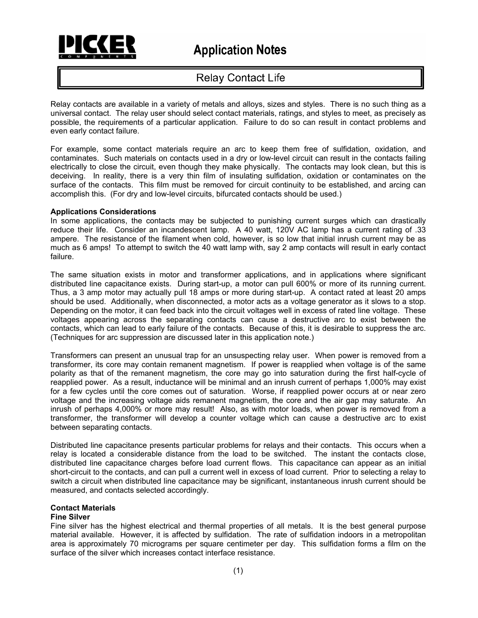

# **Relay Contact Life**

Relay contacts are available in a variety of metals and alloys, sizes and styles. There is no such thing as a universal contact. The relay user should select contact materials, ratings, and styles to meet, as precisely as possible, the requirements of a particular application. Failure to do so can result in contact problems and even early contact failure.

For example, some contact materials require an arc to keep them free of sulfidation, oxidation, and contaminates. Such materials on contacts used in a dry or low-level circuit can result in the contacts failing electrically to close the circuit, even though they make physically. The contacts may look clean, but this is deceiving. In reality, there is a very thin film of insulating sulfidation, oxidation or contaminates on the surface of the contacts. This film must be removed for circuit continuity to be established, and arcing can accomplish this. (For dry and low-level circuits, bifurcated contacts should be used.)

# **Applications Considerations**

In some applications, the contacts may be subjected to punishing current surges which can drastically reduce their life. Consider an incandescent lamp. A 40 watt, 120V AC lamp has a current rating of .33 ampere. The resistance of the filament when cold, however, is so low that initial inrush current may be as much as 6 amps! To attempt to switch the 40 watt lamp with, say 2 amp contacts will result in early contact failure.

The same situation exists in motor and transformer applications, and in applications where significant distributed line capacitance exists. During start-up, a motor can pull 600% or more of its running current. Thus, a 3 amp motor may actually pull 18 amps or more during start-up. A contact rated at least 20 amps should be used. Additionally, when disconnected, a motor acts as a voltage generator as it slows to a stop. Depending on the motor, it can feed back into the circuit voltages well in excess of rated line voltage. These voltages appearing across the separating contacts can cause a destructive arc to exist between the contacts, which can lead to early failure of the contacts. Because of this, it is desirable to suppress the arc. (Techniques for arc suppression are discussed later in this application note.)

Transformers can present an unusual trap for an unsuspecting relay user. When power is removed from a transformer, its core may contain remanent magnetism. If power is reapplied when voltage is of the same polarity as that of the remanent magnetism, the core may go into saturation during the first half-cycle of reapplied power. As a result, inductance will be minimal and an inrush current of perhaps 1,000% may exist for a few cycles until the core comes out of saturation. Worse, if reapplied power occurs at or near zero voltage and the increasing voltage aids remanent magnetism, the core and the air gap may saturate. An inrush of perhaps 4,000% or more may result! Also, as with motor loads, when power is removed from a transformer, the transformer will develop a counter voltage which can cause a destructive arc to exist between separating contacts.

Distributed line capacitance presents particular problems for relays and their contacts. This occurs when a relay is located a considerable distance from the load to be switched. The instant the contacts close, distributed line capacitance charges before load current flows. This capacitance can appear as an initial short-circuit to the contacts, and can pull a current well in excess of load current. Prior to selecting a relay to switch a circuit when distributed line capacitance may be significant, instantaneous inrush current should be measured, and contacts selected accordingly.

# **Contact Materials**

# **Fine Silver**

Fine silver has the highest electrical and thermal properties of all metals. It is the best general purpose material available. However, it is affected by sulfidation. The rate of sulfidation indoors in a metropolitan area is approximately 70 micrograms per square centimeter per day. This sulfidation forms a film on the surface of the silver which increases contact interface resistance.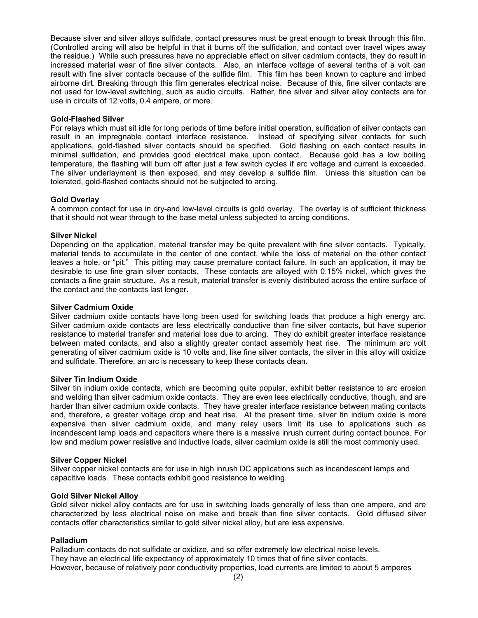Because silver and silver alloys sulfidate, contact pressures must be great enough to break through this film. (Controlled arcing will also be helpful in that it burns off the sulfidation, and contact over travel wipes away the residue.) While such pressures have no appreciable effect on silver cadmium contacts, they do result in increased material wear of fine silver contacts. Also, an interface voltage of several tenths of a volt can result with fine silver contacts because of the sulfide film. This film has been known to capture and imbed airborne dirt. Breaking through this film generates electrical noise. Because of this, fine silver contacts are not used for low-level switching, such as audio circuits. Rather, fine silver and silver alloy contacts are for use in circuits of 12 volts, 0.4 ampere, or more.

#### **Gold-Flashed Silver**

For relays which must sit idle for long periods of time before initial operation, sulfidation of silver contacts can result in an impregnable contact interface resistance. Instead of specifying silver contacts for such applications, gold-flashed silver contacts should be specified. Gold flashing on each contact results in minimal sulfidation, and provides good electrical make upon contact. Because gold has a low boiling temperature, the flashing will burn off after just a few switch cycles if arc voltage and current is exceeded. The silver underlayment is then exposed, and may develop a sulfide film. Unless this situation can be tolerated, gold-flashed contacts should not be subjected to arcing.

# **Gold Overlay**

A common contact for use in dry-and low-level circuits is gold overlay. The overlay is of sufficient thickness that it should not wear through to the base metal unless subjected to arcing conditions.

#### **Silver Nickel**

Depending on the application, material transfer may be quite prevalent with fine silver contacts. Typically, material tends to accumulate in the center of one contact, while the loss of material on the other contact leaves a hole, or "pit." This pitting may cause premature contact failure. In such an application, it may be desirable to use fine grain silver contacts. These contacts are alloyed with 0.15% nickel, which gives the contacts a fine grain structure. As a result, material transfer is evenly distributed across the entire surface of the contact and the contacts last longer.

#### **Silver Cadmium Oxide**

Silver cadmium oxide contacts have long been used for switching loads that produce a high energy arc. Silver cadmium oxide contacts are less electrically conductive than fine silver contacts, but have superior resistance to material transfer and material loss due to arcing. They do exhibit greater interface resistance between mated contacts, and also a slightly greater contact assembly heat rise. The minimum arc volt generating of silver cadmium oxide is 10 volts and, like fine silver contacts, the silver in this alloy will oxidize and sulfidate. Therefore, an arc is necessary to keep these contacts clean.

#### **Silver Tin Indium Oxide**

Silver tin indium oxide contacts, which are becoming quite popular, exhibit better resistance to arc erosion and welding than silver cadmium oxide contacts. They are even less electrically conductive, though, and are harder than silver cadmium oxide contacts. They have greater interface resistance between mating contacts and, therefore, a greater voltage drop and heat rise. At the present time, silver tin indium oxide is more expensive than silver cadmium oxide, and many relay users limit its use to applications such as incandescent lamp loads and capacitors where there is a massive inrush current during contact bounce. For low and medium power resistive and inductive loads, silver cadmium oxide is still the most commonly used.

#### **Silver Copper Nickel**

Silver copper nickel contacts are for use in high inrush DC applications such as incandescent lamps and capacitive loads. These contacts exhibit good resistance to welding.

# **Gold Silver Nickel Alloy**

Gold silver nickel alloy contacts are for use in switching loads generally of less than one ampere, and are characterized by less electrical noise on make and break than fine silver contacts. Gold diffused silver contacts offer characteristics similar to gold silver nickel alloy, but are less expensive.

# **Palladium**

Palladium contacts do not sulfidate or oxidize, and so offer extremely low electrical noise levels. They have an electrical life expectancy of approximately 10 times that of fine silver contacts. However, because of relatively poor conductivity properties, load currents are limited to about 5 amperes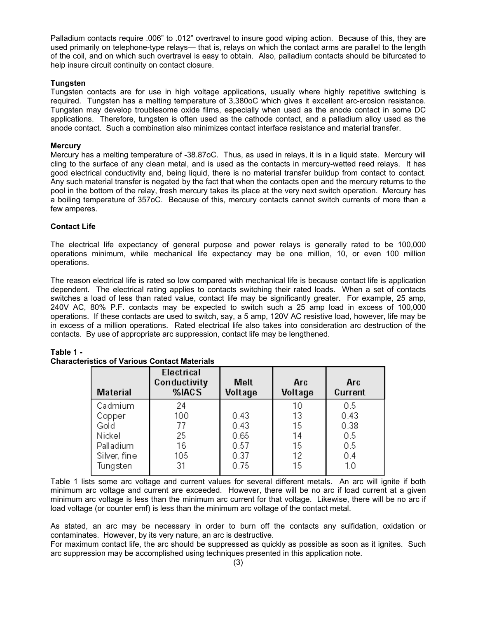Palladium contacts require .006" to .012" overtravel to insure good wiping action. Because of this, they are used primarily on telephone-type relays— that is, relays on which the contact arms are parallel to the length of the coil, and on which such overtravel is easy to obtain. Also, palladium contacts should be bifurcated to help insure circuit continuity on contact closure.

# **Tungsten**

Tungsten contacts are for use in high voltage applications, usually where highly repetitive switching is required. Tungsten has a melting temperature of 3,380oC which gives it excellent arc-erosion resistance. Tungsten may develop troublesome oxide films, especially when used as the anode contact in some DC applications. Therefore, tungsten is often used as the cathode contact, and a palladium alloy used as the anode contact. Such a combination also minimizes contact interface resistance and material transfer.

# **Mercury**

Mercury has a melting temperature of -38.87oC. Thus, as used in relays, it is in a liquid state. Mercury will cling to the surface of any clean metal, and is used as the contacts in mercury-wetted reed relays. It has good electrical conductivity and, being liquid, there is no material transfer buildup from contact to contact. Any such material transfer is negated by the fact that when the contacts open and the mercury returns to the pool in the bottom of the relay, fresh mercury takes its place at the very next switch operation. Mercury has a boiling temperature of 357oC. Because of this, mercury contacts cannot switch currents of more than a few amperes.

# **Contact Life**

The electrical life expectancy of general purpose and power relays is generally rated to be 100,000 operations minimum, while mechanical life expectancy may be one million, 10, or even 100 million operations.

The reason electrical life is rated so low compared with mechanical life is because contact life is application dependent. The electrical rating applies to contacts switching their rated loads. When a set of contacts switches a load of less than rated value, contact life may be significantly greater. For example, 25 amp, 240V AC, 80% P.F. contacts may be expected to switch such a 25 amp load in excess of 100,000 operations. If these contacts are used to switch, say, a 5 amp, 120V AC resistive load, however, life may be in excess of a million operations. Rated electrical life also takes into consideration arc destruction of the contacts. By use of appropriate arc suppression, contact life may be lengthened.

| <b>Material</b> | Electrical<br>Conductivity<br>%IACS | <b>Melt</b><br>Voltage | <b>Arc</b><br>Voltage | Arc<br>Current |
|-----------------|-------------------------------------|------------------------|-----------------------|----------------|
| Cadmium         | 24                                  |                        | 10                    | 0.5            |
| Copper          | 100                                 | 0.43                   | 13                    | 0.43           |
| Gold            | 77                                  | 0.43                   | 15                    | 0.38           |
| Nickel          | 25                                  | 0.65                   | 14                    | 0.5            |
| Palladium       | 16                                  | 0.57                   | 15                    | 0.5            |
| Silver, fine    | 105                                 | 0.37                   | 12                    | 0.4            |
| Tungsten        | 31                                  | 0.75                   | 15                    | 1.0            |

# **Table 1 -**

Table 1 lists some arc voltage and current values for several different metals. An arc will ignite if both minimum arc voltage and current are exceeded. However, there will be no arc if load current at a given minimum arc voltage is less than the minimum arc current for that voltage. Likewise, there will be no arc if load voltage (or counter emf) is less than the minimum arc voltage of the contact metal.

As stated, an arc may be necessary in order to burn off the contacts any sulfidation, oxidation or contaminates. However, by its very nature, an arc is destructive.

For maximum contact life, the arc should be suppressed as quickly as possible as soon as it ignites. Such arc suppression may be accomplished using techniques presented in this application note.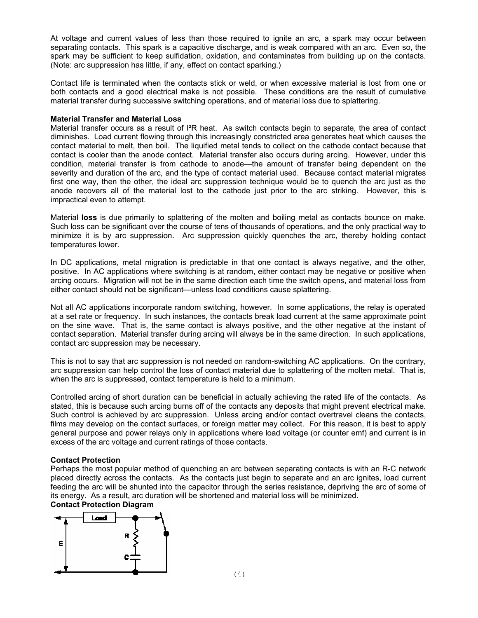At voltage and current values of less than those required to ignite an arc, a spark may occur between separating contacts. This spark is a capacitive discharge, and is weak compared with an arc. Even so, the spark may be sufficient to keep sulfidation, oxidation, and contaminates from building up on the contacts. (Note: arc suppression has little, if any, effect on contact sparking.)

Contact life is terminated when the contacts stick or weld, or when excessive material is lost from one or both contacts and a good electrical make is not possible. These conditions are the result of cumulative material transfer during successive switching operations, and of material loss due to splattering.

#### **Material Transfer and Material Loss**

Material transfer occurs as a result of I<sup>2</sup>R heat. As switch contacts begin to separate, the area of contact diminishes. Load current flowing through this increasingly constricted area generates heat which causes the contact material to melt, then boil. The liquified metal tends to collect on the cathode contact because that contact is cooler than the anode contact. Material transfer also occurs during arcing. However, under this condition, material transfer is from cathode to anode—the amount of transfer being dependent on the severity and duration of the arc, and the type of contact material used. Because contact material migrates first one way, then the other, the ideal arc suppression technique would be to quench the arc just as the anode recovers all of the material lost to the cathode just prior to the arc striking. However, this is impractical even to attempt.

Material **loss** is due primarily to splattering of the molten and boiling metal as contacts bounce on make. Such loss can be significant over the course of tens of thousands of operations, and the only practical way to minimize it is by arc suppression. Arc suppression quickly quenches the arc, thereby holding contact temperatures lower.

In DC applications, metal migration is predictable in that one contact is always negative, and the other, positive. In AC applications where switching is at random, either contact may be negative or positive when arcing occurs. Migration will not be in the same direction each time the switch opens, and material loss from either contact should not be significant—unless load conditions cause splattering.

Not all AC applications incorporate random switching, however. In some applications, the relay is operated at a set rate or frequency. In such instances, the contacts break load current at the same approximate point on the sine wave. That is, the same contact is always positive, and the other negative at the instant of contact separation. Material transfer during arcing will always be in the same direction. In such applications, contact arc suppression may be necessary.

This is not to say that arc suppression is not needed on random-switching AC applications. On the contrary, arc suppression can help control the loss of contact material due to splattering of the molten metal. That is, when the arc is suppressed, contact temperature is held to a minimum.

Controlled arcing of short duration can be beneficial in actually achieving the rated life of the contacts. As stated, this is because such arcing burns off of the contacts any deposits that might prevent electrical make. Such control is achieved by arc suppression. Unless arcing and/or contact overtravel cleans the contacts, films may develop on the contact surfaces, or foreign matter may collect. For this reason, it is best to apply general purpose and power relays only in applications where load voltage (or counter emf) and current is in excess of the arc voltage and current ratings of those contacts.

# **Contact Protection**

Perhaps the most popular method of quenching an arc between separating contacts is with an R-C network placed directly across the contacts. As the contacts just begin to separate and an arc ignites, load current feeding the arc will be shunted into the capacitor through the series resistance, depriving the arc of some of its energy. As a result, arc duration will be shortened and material loss will be minimized. **Contact Protection Diagram** 

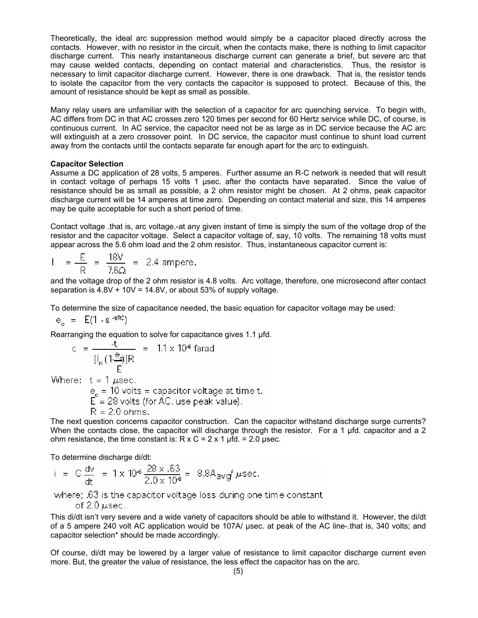Theoretically, the ideal arc suppression method would simply be a capacitor placed directly across the contacts. However, with no resistor in the circuit, when the contacts make, there is nothing to limit capacitor discharge current. This nearly instantaneous discharge current can generate a brief, but severe arc that may cause welded contacts, depending on contact material and characteristics. Thus, the resistor is necessary to limit capacitor discharge current. However, there is one drawback. That is, the resistor tends to isolate the capacitor from the very contacts the capacitor is supposed to protect. Because of this, the amount of resistance should be kept as small as possible.

Many relay users are unfamiliar with the selection of a capacitor for arc quenching service. To begin with, AC differs from DC in that AC crosses zero 120 times per second for 60 Hertz service while DC, of course, is continuous current. In AC service, the capacitor need not be as large as in DC service because the AC arc will extinguish at a zero crossover point. In DC service, the capacitor must continue to shunt load current away from the contacts until the contacts separate far enough apart for the arc to extinguish.

#### **Capacitor Selection**

Assume a DC application of 28 volts, 5 amperes. Further assume an R-C network is needed that will result in contact voltage of perhaps 15 volts 1 µsec. after the contacts have separated. Since the value of resistance should be as small as possible, a 2 ohm resistor might be chosen. At 2 ohms, peak capacitor discharge current will be 14 amperes at time zero. Depending on contact material and size, this 14 amperes may be quite acceptable for such a short period of time.

Contact voltage .that is, arc voltage.-at any given instant of time is simply the sum of the voltage drop of the resistor and the capacitor voltage. Select a capacitor voltage of, say, 10 volts. The remaining 18 volts must appear across the 5.6 ohm load and the 2 ohm resistor. Thus, instantaneous capacitor current is:

$$
1 = \frac{E}{R} = \frac{18V}{7.6\Omega} = 2.4 \text{ ampere.}
$$

and the voltage drop of the 2 ohm resistor is 4.8 volts. Arc voltage, therefore, one microsecond after contact separation is  $4.8V + 10V = 14.8V$ , or about 53% of supply voltage.

To determine the size of capacitance needed, the basic equation for capacitor voltage may be used:

$$
e_{\rm e} = E(1 - e^{-\text{trRC}})
$$

Rearranging the equation to solve for capacitance gives 1.1 µfd.

c = 
$$
\frac{-t}{[I_n(1-\frac{e_0}{E})]R}
$$
 = 1.1 x 10<sup>6</sup> farad

Where:  $t = 1 \mu$ sec.

 $e_e = 10$  volts = capacitor voltage at time t.<br> $E = 28$  volts (for AC, use peak value).  $R = 2.0 \text{ ohms}.$ 

The next question concerns capacitor construction. Can the capacitor withstand discharge surge currents? When the contacts close, the capacitor will discharge through the resistor. For a 1 µfd. capacitor and a 2 ohm resistance, the time constant is:  $R \times C = 2 \times 1$  µfd. = 2.0 µsec.

To determine discharge di/dt:

i = C 
$$
\frac{dv}{dt}
$$
 = 1 x 10<sup>6</sup>  $\frac{28 x .63}{2.0 x 10^6}$  = 8.8A<sub>avg</sub> /  $\mu$ sec.

where; .63 is the capacitor voltage loss during one time constant

$$
\text{of 2.0}\,\mu\text{sec.}
$$

This di/dt isn't very severe and a wide variety of capacitors should be able to withstand it. However, the di/dt of a 5 ampere 240 volt AC application would be 107A/ µsec. at peak of the AC line-.that is, 340 volts; and capacitor selection\* should be made accordingly.

Of course, di/dt may be lowered by a larger value of resistance to limit capacitor discharge current even more. But, the greater the value of resistance, the less effect the capacitor has on the arc.